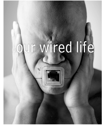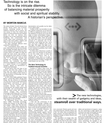Technology is on the rise. So is the intricate dilemma of balancing material prosperity with social and spiritual stability. A historian's perspective.

### **BY MORTON MARCUS**

The nation divided. Terrorist threats from abroad. Moral values and economic security vanishing around us. Our children's behavior out of control. The very notion of what The United States stands for being questioned and changed before our eyes. An America once thought to be at least moderately liberal hardening into conservatism. And overall, these issues permeating every aspect of life, from politics, religion, and media to the very air we breathe.

Are these seemingly different issues connected? I think they are.

I've contemplated these topics for years, observing over the last four decades the seemingly inevitable approach to the current situation, and I've come up with a scenario which, if it might not make the reader feel more secure, may provide a fresh perspective from which to consider the situation and if not come to terms with it emotionally, possibly—just possibly—do something that might alleviate the confusion and selfdestructive judgments we may be making as a nation because of it—judgments, strangely, against our self-interests as citizens and individuals.

Several factors form the basis of my scenario, and when they collide, as they have now, the current situation is the result. The most telling of these factors is the advancement of technology over the past three decades.

In 1970, Alvin Toffler published "Future Shock," a book that stated, among other things, that the advances in technology over the next 30 years would equal all the technological innovations in human history. I was less concerned with his economic theories than with his wondering how the human being would emotionally and psychologically cope with, let alone accept, the social and cultural changes this accelerated technology would bring with it. It seemed to me that he was picturing what can be likened to a stone-age man finding himself, without warning, in the middle of Times Square in the year 2000.

In subsequent books—"The Third Wave" (1980), "Powershift: Knowledge, Wealth and Violence at the Edge of the 21st Century" (1990), and "War and Anti-War" (1995)—Toffler further depicted the human psyche adrift in a dizzying flood of information brought about by this advancement in technology. This flood of information, he maintained, would enable us to solve problems with more individual creativity than before. But he also foresaw that the increased choices the new technologically-disseminated information brought with it would fragment society into small groups practicing a myriad of lifestyles which could well cause social disorientation and possibly rip the fabric of our culture apart.

Conflict, in fact, was inevitable, he said, but could be constructive. In an interview in 1998, he explained his theory of waves (his definition of what he saw as the three stages of major technological change in human history). Each wave brought with it "people in conflict. There are people who have their entire lives and fortunes invested in a particular way of life. Somebody comes along and says, 'Sorry now, we've got a different way of life,' they fight. Now again, that fight can be constructive, it can be creative, it can lead to new solutions to problems. But it often can be quite bitter."

It is those ideas, lifted from a wealth of others, that I see operative in all aspects of our lives today, both at home and abroad and I believe that if we understand them there is at least a possibility of integrating the conflicting sides and thereby avoiding a struggle that could shatter our way of life.

### **The New Technology & Tradition-bound Societies**

Looking at Toffler's ideas from the viewpoint of tradition-bound societies those societies whose social and religious ways make up the fabric of their citizens' lives, providing them with a strong sense of where they stand in the scheme of things—we can see the conflict clearly. The new technologies, with their wealth of gadgetry and ideas, steamroll over traditional ways, since they cause shifts in class structure and wealth distribution and eliminate notions of gender, status, moral presumptions and cosmic order, thereby calling into question various aspects of lifestyles which may have been practiced for untold centuries, not only in third world countries but in industrialized, consumer societies like our own.

Global examples of these shifts abound, but for the sake of our current concerns as a nation, let's concentrate on the socioreligious turmoil both in the Islamic world and here at home.

I first saw the connection of the advances in technology colliding with traditional socio-religious ways were seen in 1979 with the ouster of the pro-Western Shah of Iran and the immediate rise in his place of the Ayatollah Khomeni, the Islamic fundamentalist who, with overwhelming popular support, banned Western modes of dress, Western music, and the emancipated status of women in favor of what has been termed a return to a medieval Islamic state. If we substitute the word "technological" for "Western," the point of contention is clear. As far as the Ayatollah and a majority of Iranians



## The new technologies, with their wealth of gadgetry and ideas, **steamroll over traditional ways. >**

were concerned, Western goods and ways were destroying the orthodox Islamic way of life. Too many ideas accompanied the influx of goods—too many ideas that were leading to changes in Islamic lifestyles and traditional ways.

The Ayatollah is no longer alive, but Osama bin Laden is continuing to wage war against the West for the same reasons, ironically—with his cell phones, walkietalkies and assortment of weapons—using the new technology to fight against the intrusions that same technology has made upon the way of life he is defending.

It would be foolhardy, however, to point an accusing finger at bin Laden and the Islamic world and ignore similar, if not identical reactions to the freedom of choice technology has brought to the United States. The conflict that has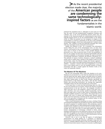# As the recent presidential election made clear, the majority of the **American people are condemning the same technologicallyinspired factors** as are the fundamentalists in the Islamic world. **>**

polarized the population here is, although we never look at it this way, the same: not just fundamentalist evangelical Christians and Catholics, but, as the recent presidential election made clear, the majority of the American people are condemning the same technologically-inspired factors as are the fundamentalists in the Islamic world. As Toffler has pointed out, the resurgence of religion in the United States is a need for community in the face of the unsettling technological changes, which have made people feel "isolated, alone, anomic" and "willing to accept the particular theology that comes with [any seemingly secure] communal environment.'

Simply, the situation is this: In a consumer cum information society riding the crest of the technological wave, we have more choices—more goods to buy, more information to contemplate, and more ways to choose to live (that is, more possible lifestyles are presented to us)—than in previous times. In fact, the possibilities of how we can conduct our lives have increased exponentially with the increased availability of information through the rapid acceleration of technology (television, computers, the Internet, cell phones, etc.). This plethora of choices, however, threatens a culture's established norms, and so conflict arises, whether in the Islamic world or in the United States, where the lifestyle changes first became apparent at the end of the 1960s as the baby boomers blossomed into the flower children. Certainly it doesn't take much imagination to see that from a strict Islamic point of view the multiple assaults of Western technology look like a crusade against the Moslem world, as bin Laden has repeatedly claimed.

#### **The Masters Of The Machines**

But the new technology didn't create this situation on its own. Machines do not function in a void: that the minds that invent them and the hands that aim, ignite, propel, and guide them are human; and the direction the new technology has taken and will continue to take reflect human goals. In other words, humans, specifically the powers-that-be in big business and politics, with all their human frailties and self-serving motivations, are steering this supposedly unsinkable Titanic into the mist-shrouded seas of the future.

At the same time, it is also true that technology takes on a life of its own once humans set it in motion. Witness the advances in global communications in the last 160 years. The telegraph, invented in 1844, soon gave way to the telephone, which in turn gave way to radio, television, and, most recently, satellite broadcasting. And the latter has made news as well as other forms of information almost instantly available anywhere on the planet. This means that we are deluged with news of natural and human-made disasters almost hourly, from the hurricanes in Florida and the tsunami in Southeast Asia to the genocides in Rwanda and the southern Sudan—to the terrorist bombings in the Middle East.

With so much information assaulting our senses, a feeling of being overwhelmed and helpless has pervaded our psyches, almost stunning the planet's populace to numbed inaction, thus producing a passive acceptance that threatens to stifle thinking about possible solutions to whatever future problems may arise in one area or another. That's bad enough. But at the same time we must guard against the insidious human manipulations of technology I referred to before, always keeping in mind that how we are affected by what we see on television and what new gadget we are coaxed into purchasing in the market is part of a capitalist system that wants to both keep products moving and us happy with our lot as we buy them.

However, this is not to say that all aspects of technological advancement are being guided by a conspiracy of rapacious businessmen or power-hungry politicians, although in large part that may be so. Whether different aspects of the new technology are set in motion for benevolent reasons or reasons of economic or political gain,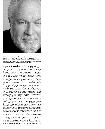

those who set them in motion seem to do so without regard to the consequences. And it is the nature of those consequences that need to be addressed. The new technology is like an explosion releasing a chain reaction of unforeseen events in terms of the social and psychological repercussions it is having on people around the world.

#### **Hypocrisy & Materialism in Techno-America**

An interesting point in all this turmoil is that in the United States we joyously accept the technological juggernaut as far as its production of material goods, advances in medicine and comfort products in general are concerned. But we refuse to recognize, let alone accept, the choices and availability of multiple lifestyles and ways of thought that come with it. To put it another way, in addition to the many things we gain through this accelerated technology (longer life, better quality of living and material prosperity) we also increase our knowledge of the possibilities in ways of living (or many different lifestyles) which, as the last election showed, the majority of the American populace see as a threat to the moral infrastructure that governs our society.

But is this new information really a threat to the nation's morality? First of all, whose morality is this new, supposed morallymotivated majority talking about? I won't attempt to answer that question here, recognizing that there are many moral systems at work in this country, a number of them rationalizations for one group or another's behavior. The question gets even more difficult to answer when you realize that many of these moral stances are based on individual interpretations of a book (the Bible) or set of unanswerable religious and philosophical conundrums.

I will, however, point out the hypocrisy in a population that says it is guided by moral values when it attempts to suppress parts of what the new technology has brought with it but embraces those parts which it finds acceptable to its wants. I'm talking about our acceptance of those aspects of the new technology that deal with the production, sales and thereby accumulation of goods which seems to have fostered a rampant materialism, an almost epidemic acquisitiveness and a new level of conspicuous consumption in American society. We rush about madly, buying and spending. In fact, it seems that we must buy, buy, buy and own, own, own every product that comes on the market, from computer toys and vanity-motivated plastic surgery to gas-guzzling, behemoth SUVs whose four-wheel drives few consumers need or even use.

Nowhere is this materialistic take-over by the new technology more visible than in the use of iPod and cell phones. Daily we see herds of people, in cars or strolling and jogging on the street, with earphones clamped to their heads or phones pressed to their ears, as they exercise or make their way from one appointment to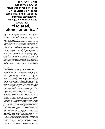As Alvin Toffler has pointed out, the resurgence of religion in the United States is a need for community in the face of the unsettling technological changes, which have made people feel **> "isolated, alone, anomic…"**

another. All the while—as their eardrums are bombarded with punk rock or hip-hop, or as they chat about the most trivial matters with friends and lovers—they ignore the life around them, becoming more alienated from it and from their fellow humans.

This rampant, ever-conspicuous materialism has given rise to a soul-corrupting sense of entitlement and hedonistic selfinvolvement to which the supposed morally-motivated majority has conveniently turned a blind eye. Here we can also hold the powers-that-be in big business accountable, since they have relentlessly promoted the buying craze with their endless advertising campaigns. The result of this materialism is that immediate gratification and greed have become the norm, and we witness the consequences of our embracing them daily in the arrogance, self-centeredness, and rude, crude behavior around us. Such conduct has been adopted most noticeably by sports figures and other celebrities, has become a staple element of TV sitcoms and mainstream films, and through those examples has affected the attitudes and behavior of the young—which seems to me a much more worrisome problem than the supposedly "immoral" ideas the new technology has made available.

#### **What We Lose**

The new technology has caused us to lose almost as much in terms of social and spiritual stability as we have gained in material prosperity, for it has undermined those moral and social structures which make up the landscape of traditional ways. Technological change has also altered the physical landscape by destroying the environment as we develop new methods of production, search for more fuel to run the machines that the new technology develops, and provide more housing for the increased population who live longer and healthier because of medical technological advances. It is not surprising, therefore, to learn that Toffler has pointed out the irony of our accepting so much of what the technological advances have brought while at the same time refusing to acknowledge the loss, choices, multiple ways of thought and changed lifestyles that come with them, as if the general populace wanted their cake and still be able to eat it.

To me, our lack of understanding the overall picture of what the accelerated technology has brought with it has created a schizophrenic society in which we are torn in several directions at once, since we are in a state of constant emotional, intellectual—not to mention social—upheaval.

Security, "safety," in such a situation, is impossible. But then, there never has been safety in the world. The world, both human and natural, is and always has been in a constant state of change. And that is the primary truth we have to accept. Things don't last forever, whether we're talking about love or governments, traditional ways or revolutionary thinking. Threat and catastrophe follow blissful moments, as history has shown us again and again. And only a nation such as our own, which has been spared many of the political and religiously-inspired catastrophes endured by other countries, can delude itself into thinking that the things of this world are permanent.

And so it is that technology has wrought changes in our lives that we might not want to accept. Family structure has collapsed because of it, and the behavior of our children—and with the global spread of technology, the behavior of children around the world—is one of the most disturbing manifestations of it. The rootlessness of the young has been most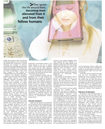They ignore the life around them, **becoming more alienated from it and from their fellow humans. >**

telling. Their refusal to obey the old rules of parental guidance in favor of following the anarchic ways of their peers, as well as following the examples of behavior provided by the technologically developed media, are undeniable, even though in the United States traditional ways of nurturing and rules of upbringing in many cases were brought to this country by immigrant groups only a generation ago.

However, our children's behavioral problems may well stem from technologically induced physical and mental disabilities. Television, cell phones, iPods and other sound systems with highdecibel levels, contribute to sensory overload, which must in some way affect not only a young person's hearing but his nervous system as well. The sugar, fat, salt, and chemical content of fast foods create hypertension, hyperactivity and, of course, obesity. In this connection, it is interesting to note that doctors and primary school teachers are voicing concern over the increasing number of cases of ADHD (Attention Deficit Hyperactivity Disorder), autism, and psychological problems in general in their young patients and students. All of these physical and mental impairments can cause discipline problems, and their treatments with miracle meds, such as Paxil, Prozac, prednisone, and even Valium—every one of them a product of the new technology—have been blamed for such behavioral problems as depression and uncontrollable mood swings to acts of violence and suicide.

What we see around us is the physical effect the new technology has had on young and old alike, and up to now we have sought easy explanations for the causes of these problems, one segment of the population superficially blaming the

widespread uncontrolled behavior and family turmoil on the loss of "family values"—whatever that vague, undefined term means—and the other segments, armed with the information disseminated by the new technology, not only rejecting the values of the status quo but the values of all groups except their own.

It is not surprising, therefore, that our population has not only polarized but fragmented into a number of sub-groups embracing on one hand, and refusing to accept on the other, different moral and ethical values and a myriad of lifestyles. Looked at from the outside by traditionbound societies, the familial and social upheaval in this country is threatening if not frightening. Certainly the rise and aims of fundamentalist religious groups in the United States wanting to stem the proliferation of different lifestyles and values is uncannily similar to the rise and concerns of fundamentalist Moslem groups abroad.

#### **And the Solution?**

Toffler says the solution is an individual one. He points out that an individual must be able to adapt to the changes brought about by the new technology. "But," he adds, "in order to make decisions at a high speed and in great complexity … you need to know who you are and what your criteria are. You need to know what you value more than anything else." Such values are not achieved by instinct or faith, however, but rather by "obviously getting an education, getting appropriate skills ...

Living with change, acknowledging it and using it, are Toffler's definitions of acquiring at least mental and economic

security in this rapidly changing world. Such thinking has been defined in a number of ways by media pundits, each definition pitting those who resist change against those who embrace it, such as "the pragmatic versus the religious," "science versus faith," "reason versus instinct." Looked at from the viewpoint of this article, the problem achieves the different perspective of "technology versus traditional ways."

The purpose of this article is not to provide or promulgate solutions. It is to picture the problem in a different manner. That said, I think there are some steps that can be taken that in their very simplicity can go a long way to alleviate the polarization that is taking place here and abroad.

First, it seems clear to me that neither technology nor tradition can be abandoned. They must be integrated in some way. I realize that such a statement is anthropologically unsound, since removing a single brick from a traditional sociological structure almost always results in the collapse of the entire edifice. But some amalgamation of the old and the new in the situation in which we find ourselves needs to be achieved. Certainly the technological locomotive (and those who are driving it) must not be allowed to run away with us, for it is clear that our minds cannot adapt to the rapidly changing landscape we behold through the rushing train windows. The memories of where we've been, those train stations whose names fade into the past, refuse to be erased, and what we have cherished as a species since the dawn of time, those values which seem to be imprinted on our chromosomes, will not be expunged. Toffler recognizes this when he talks about the moral dilemmas that will confront us

over the replication of DNA, a subject that in terms of morality can be expanded to include the current debates over stem cell research, abortion rights, and even same sex marriage.

At the same time, we cannot turn away from the new technological world. Change will occur no matter what. But, that change can be sidetracked, and we can swarm from the train and destroy every part of the landscape and the houses and people in it that we don't understand but "feel" threaten our traditional ways. Heaven knows, it has happened before. The only answers, perhaps, are an old and simple ones: "tolerance" and "education."

#### **Tolerance & Education**

By tolerance I mean allowing people to live their lives in the way they want as long as their choices do not interfere with other people's ways. Or, simply, to live and let live. That is, really, the underlying ethos of the United States, a nation of immigrants who brought from the persecution of other "closed" societies their different religions and lifestyles in order to freely practice their beliefs. Once settled here, those groups saw the danger of imposing their ways on one another, and that apprehension inspired our forefathers to separate church and state once the nation was founded.

As for education, I follow both the precepts of my strictly religious peasant immigrant family, whose motto is "you must know everything," and the dictates of the Scottish Evangelical preacher John Wilkerson, the sixth president of Princeton